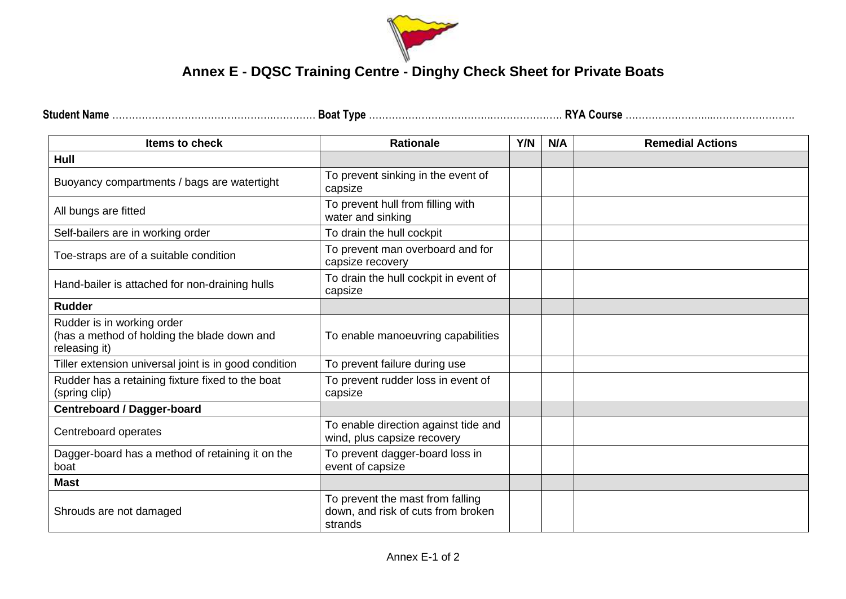

## **Annex E - DQSC Training Centre - Dinghy Check Sheet for Private Boats**

| <b>Stude</b> | . VUL.<br>DUđi | <b>AIR</b><br>$\sim$ vous.<br>. |
|--------------|----------------|---------------------------------|
|--------------|----------------|---------------------------------|

| Items to check                                                                             | <b>Rationale</b>                                                                  | Y/N | N/A | <b>Remedial Actions</b> |
|--------------------------------------------------------------------------------------------|-----------------------------------------------------------------------------------|-----|-----|-------------------------|
| Hull                                                                                       |                                                                                   |     |     |                         |
| Buoyancy compartments / bags are watertight                                                | To prevent sinking in the event of<br>capsize                                     |     |     |                         |
| All bungs are fitted                                                                       | To prevent hull from filling with<br>water and sinking                            |     |     |                         |
| Self-bailers are in working order                                                          | To drain the hull cockpit                                                         |     |     |                         |
| Toe-straps are of a suitable condition                                                     | To prevent man overboard and for<br>capsize recovery                              |     |     |                         |
| Hand-bailer is attached for non-draining hulls                                             | To drain the hull cockpit in event of<br>capsize                                  |     |     |                         |
| <b>Rudder</b>                                                                              |                                                                                   |     |     |                         |
| Rudder is in working order<br>(has a method of holding the blade down and<br>releasing it) | To enable manoeuvring capabilities                                                |     |     |                         |
| Tiller extension universal joint is in good condition                                      | To prevent failure during use                                                     |     |     |                         |
| Rudder has a retaining fixture fixed to the boat<br>(spring clip)                          | To prevent rudder loss in event of<br>capsize                                     |     |     |                         |
| <b>Centreboard / Dagger-board</b>                                                          |                                                                                   |     |     |                         |
| Centreboard operates                                                                       | To enable direction against tide and<br>wind, plus capsize recovery               |     |     |                         |
| Dagger-board has a method of retaining it on the<br>boat                                   | To prevent dagger-board loss in<br>event of capsize                               |     |     |                         |
| <b>Mast</b>                                                                                |                                                                                   |     |     |                         |
| Shrouds are not damaged                                                                    | To prevent the mast from falling<br>down, and risk of cuts from broken<br>strands |     |     |                         |